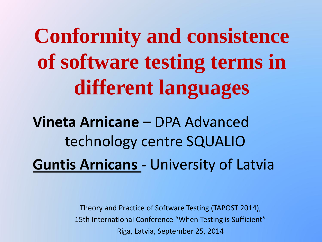**Conformity and consistence of software testing terms in different languages**

**Vineta Arnicane –** DPA Advanced technology centre SQUALIO **Guntis Arnicans -** University of Latvia

> Theory and Practice of Software Testing (TAPOST 2014), 15th International Conference "When Testing is Sufficient" Riga, Latvia, September 25, 2014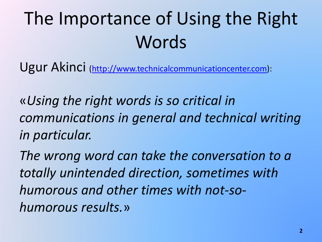# The Importance of Using the Right **Words**

Ugur Akinci ([http://www.technicalcommunicationcenter.com](http://www.technicalcommunicationcenter.com/)):

«*Using the right words is so critical in communications in general and technical writing in particular.*

*The wrong word can take the conversation to a totally unintended direction, sometimes with humorous and other times with not-sohumorous results.*»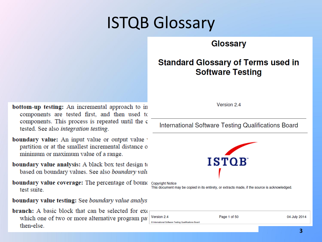## ISTQB Glossary

#### **Glossary**

#### **Standard Glossary of Terms used in Software Testing**

**bottom-up testing:** An incremental approach to in components are tested first, and then used to components. This process is repeated until the c tested. See also integration testing.

**boundary value:** An input value or output value partition or at the smallest incremental distance of minimum or maximum value of a range.

**boundary value analysis:** A black box test design to based on boundary values. See also boundary valu

**boundary value coverage:** The percentage of bound copyright Notice test suite

boundary value testing: See boundary value analys.

**branch:** A basic block that can be selected for exerwhich one of two or more alternative program pat then-else.

Version 2.4

International Software Testing Qualifications Board



This document may be copied in its entirety, or extracts made, if the source is acknowledged.

| Version 2.4                                           | Page 1 of 50 | 04 July 2014 |
|-------------------------------------------------------|--------------|--------------|
| C International Software Testing Qualifications Board |              |              |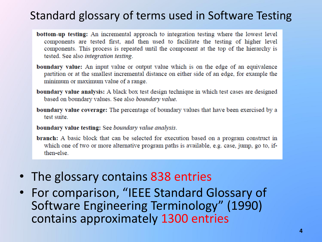#### Standard glossary of terms used in Software Testing

- **bottom-up testing:** An incremental approach to integration testing where the lowest level components are tested first, and then used to facilitate the testing of higher level components. This process is repeated until the component at the top of the hierarchy is tested. See also integration testing.
- **boundary value:** An input value or output value which is on the edge of an equivalence partition or at the smallest incremental distance on either side of an edge, for example the minimum or maximum value of a range.
- **boundary value analysis:** A black box test design technique in which test cases are designed based on boundary values. See also boundary value.
- **boundary value coverage:** The percentage of boundary values that have been exercised by a test suite.
- **boundary value testing:** See boundary value analysis.
- **branch:** A basic block that can be selected for execution based on a program construct in which one of two or more alternative program paths is available, e.g. case, jump, go to, ifthen-else.
- The glossary contains 838 entries
- For comparison, "IEEE Standard Glossary of Software Engineering Terminology" (1990) contains approximately 1300 entries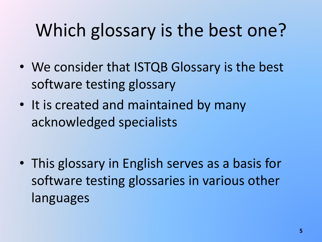# Which glossary is the best one?

- We consider that ISTQB Glossary is the best software testing glossary
- It is created and maintained by many acknowledged specialists

• This glossary in English serves as a basis for software testing glossaries in various other languages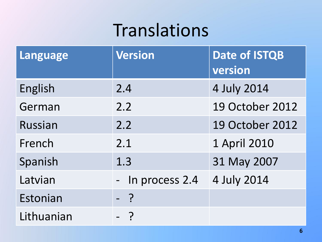## Translations

| <b>Language</b> | <b>Version</b> | <b>Date of ISTQB</b><br>version |
|-----------------|----------------|---------------------------------|
| English         | 2.4            | 4 July 2014                     |
| German          | 2.2            | <b>19 October 2012</b>          |
| <b>Russian</b>  | 2.2            | <b>19 October 2012</b>          |
| French          | 2.1            | 1 April 2010                    |
| Spanish         | 1.3            | 31 May 2007                     |
| Latvian         | In process 2.4 | 4 July 2014                     |
| Estonian        | - ?            |                                 |
| Lithuanian      |                |                                 |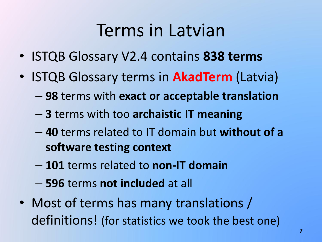## Terms in Latvian

- ISTQB Glossary V2.4 contains **838 terms**
- ISTQB Glossary terms in **AkadTerm** (Latvia)
	- **98** terms with **exact or acceptable translation**
	- **3** terms with too **archaistic IT meaning**
	- **40** terms related to IT domain but **without of a software testing context**
	- **101** terms related to **non-IT domain**
	- **596** terms **not included** at all
- Most of terms has many translations / definitions! (for statistics we took the best one)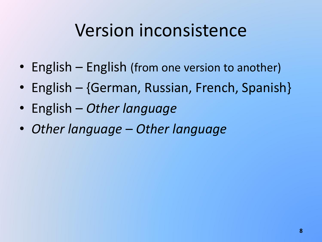## Version inconsistence

- English English (from one version to another)
- English {German, Russian, French, Spanish}
- English *Other language*
- *Other language Other language*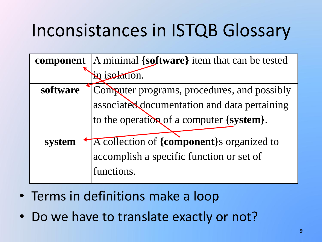# Inconsistances in ISTQB Glossary

|          | <b>component</b>  A minimal {software} item that can be tested |
|----------|----------------------------------------------------------------|
|          | in isolation.                                                  |
| software | Computer programs, procedures, and possibly                    |
|          | associated documentation and data pertaining                   |
|          | to the operation of a computer {system}.                       |
|          |                                                                |
| system   | A collection of {component}s organized to                      |
|          | accomplish a specific function or set of                       |
|          | functions.                                                     |

- Terms in definitions make a loop
- Do we have to translate exactly or not?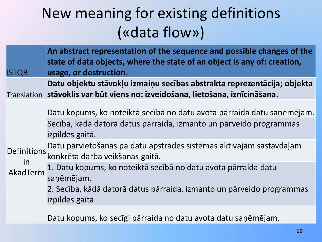### New meaning for existing definitions («data flow»)

|           | <b>ISTQB</b>                   | An abstract representation of the sequence and possible changes of the<br>state of data objects, where the state of an object is any of: creation,<br>usage, or destruction.                                                                                                                                                                                                                                                       |
|-----------|--------------------------------|------------------------------------------------------------------------------------------------------------------------------------------------------------------------------------------------------------------------------------------------------------------------------------------------------------------------------------------------------------------------------------------------------------------------------------|
|           |                                | Datu objektu stāvokļu izmaiņu secības abstrakta reprezentācija; objekta<br>Translation stāvoklis var būt viens no: izveidošana, lietošana, iznīcināšana.                                                                                                                                                                                                                                                                           |
| <i>in</i> | <b>Definitions</b><br>AkadTerm | Datu kopums, ko noteiktā secībā no datu avota pārraida datu saņēmējam.<br>Secība, kādā datorā datus pārraida, izmanto un pārveido programmas<br>izpildes gaitā.<br>Datu pārvietošanās pa datu apstrādes sistēmas aktīvajām sastāvdaļām<br>konkrēta darba veikšanas gaitā.<br>1. Datu kopums, ko noteiktā secībā no datu avota pārraida datu<br>saņēmējam.<br>2. Secība, kādā datorā datus pārraida, izmanto un pārveido programmas |
|           |                                | izpildes gaitā.                                                                                                                                                                                                                                                                                                                                                                                                                    |

Datu kopums, ko secīgi pārraida no datu avota datu saņēmējam.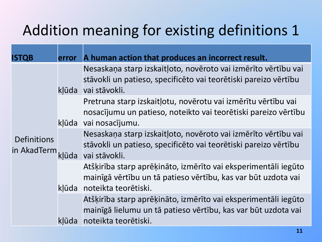### Addition meaning for existing definitions 1

| <b>ISTQB</b>                      |       | error A human action that produces an incorrect result.                                                                                                       |
|-----------------------------------|-------|---------------------------------------------------------------------------------------------------------------------------------------------------------------|
|                                   |       | Nesaskaņa starp izskaitļoto, novēroto vai izmērīto vērtību vai<br>stāvokli un patieso, specificēto vai teorētiski pareizo vērtību<br>kļūda vai stāvokli.      |
|                                   |       | Pretruna starp izskaitļotu, novērotu vai izmērītu vērtību vai<br>nosacījumu un patieso, noteikto vai teorētiski pareizo vērtību<br>kļūda vai nosacījumu.      |
| <b>Definitions</b><br>in AkadTerm | klūda | Nesaskaņa starp izskaitļoto, novēroto vai izmērīto vērtību vai<br>stāvokļi un patieso, specificēto vai teorētiski pareizo vērtību<br>vai stāvokli.            |
|                                   |       | Atšķirība starp aprēķināto, izmērīto vai eksperimentāli iegūto<br>mainīgā vērtību un tā patieso vērtību, kas var būt uzdota vai<br>kļūda noteikta teorētiski. |
|                                   | klūda | Atšķirība starp aprēķināto, izmērīto vai eksperimentāli iegūto<br>mainīgā lielumu un tā patieso vērtību, kas var būt uzdota vai<br>noteikta teorētiski.       |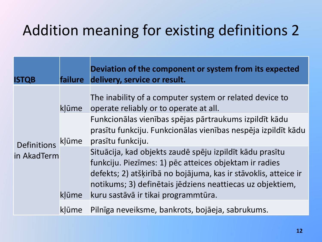### Addition meaning for existing definitions 2

| <b>ISTQB</b> | <b>failure</b> | Deviation of the component or system from its expected<br>delivery, service or result.                                                                                                                                                                                                    |
|--------------|----------------|-------------------------------------------------------------------------------------------------------------------------------------------------------------------------------------------------------------------------------------------------------------------------------------------|
|              | kļūme          | The inability of a computer system or related device to<br>operate reliably or to operate at all.                                                                                                                                                                                         |
| Definitions  | klūme          | Funkcionālas vienības spējas pārtraukums izpildīt kādu<br>prasītu funkciju. Funkcionālas vienības nespēja izpildīt kādu<br>prasītu funkciju.                                                                                                                                              |
| in AkadTerm  | klūme          | Situācija, kad objekts zaudē spēju izpildīt kādu prasītu<br>funkciju. Piezīmes: 1) pēc atteices objektam ir radies<br>defekts; 2) atšķirībā no bojājuma, kas ir stāvoklis, atteice ir<br>notikums; 3) definētais jēdziens neattiecas uz objektiem,<br>kuru sastāvā ir tikai programmtūra. |
|              | klūme          | Pilnīga neveiksme, bankrots, bojāeja, sabrukums.                                                                                                                                                                                                                                          |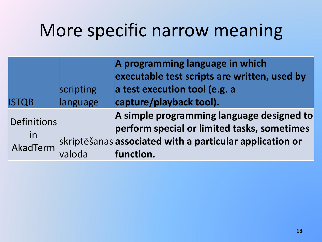## More specific narrow meaning

|                |           | A programming language in which                          |
|----------------|-----------|----------------------------------------------------------|
|                |           | executable test scripts are written, used by             |
|                | scripting | a test execution tool (e.g. a                            |
| <b>ISTQB</b>   | language  | capture/playback tool).                                  |
|                |           | A simple programming language designed to                |
| Definitions    |           | perform special or limited tasks, sometimes              |
| in<br>AkadTerm |           | skriptēšanas associated with a particular application or |
|                | valoda    | function.                                                |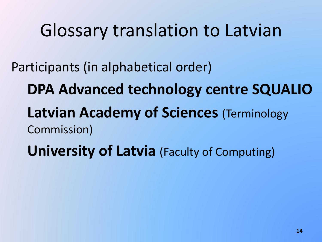## Glossary translation to Latvian

Participants (in alphabetical order)

**DPA Advanced technology centre SQUALIO**

**Latvian Academy of Sciences (Terminology** Commission)

**University of Latvia** (Faculty of Computing)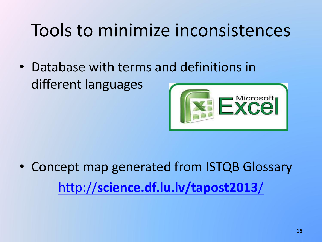## Tools to minimize inconsistences

• Database with terms and definitions in different languages



• Concept map generated from ISTQB Glossary [http://](http://science.df.lu.lv/tapost2013/)**[science.df.lu.lv/tapost2013](http://science.df.lu.lv/tapost2013/)**[/](http://science.df.lu.lv/tapost2013/)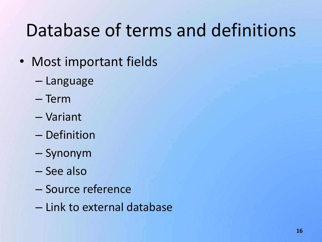## Database of terms and definitions

- Most important fields
	- Language
	- Term
	- Variant
	- Definition
	- Synonym
	- See also
	- Source reference
	- Link to external database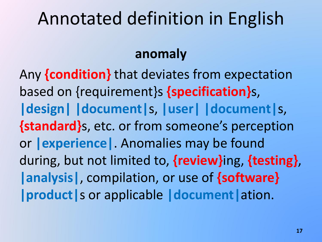## Annotated definition in English

#### **anomaly**

Any **{condition}** that deviates from expectation based on {requirement}s **{specification}**s, **|design| |document|**s, **|user| |document|**s, **{standard}**s, etc. or from someone's perception or **|experience|**. Anomalies may be found during, but not limited to, **{review}**ing, **{testing}**, **|analysis|**, compilation, or use of **{software} |product|**s or applicable **|document|**ation.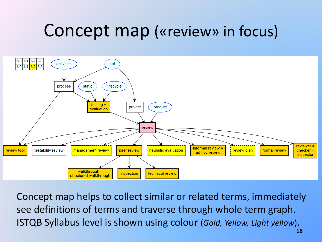## Concept map («review» in focus)



Concept map helps to collect similar or related terms, immediately see definitions of terms and traverse through whole term graph. ISTQB Syllabus level is shown using colour (*Gold, Yellow, Light yellow*).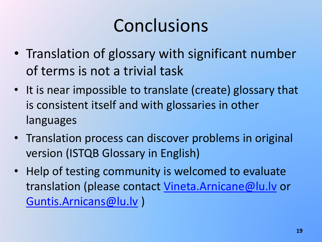## Conclusions

- Translation of glossary with significant number of terms is not a trivial task
- It is near impossible to translate (create) glossary that is consistent itself and with glossaries in other languages
- Translation process can discover problems in original version (ISTQB Glossary in English)
- Help of testing community is welcomed to evaluate translation (please contact [Vineta.Arnicane@lu.lv](mailto:Vineta.Arnicane@lu.lv) or [Guntis.Arnicans@lu.lv](mailto:Guntis.Arnicans@lu.lv) )